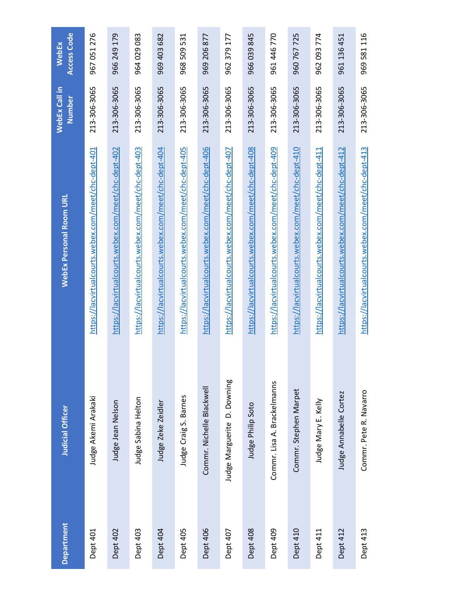| https://lacvirtualcourts.webex.com/meet/chc-dept-408<br>https://lacvirtualcourts.webex.com/meet/chc-dept-405<br>https://lacvirtualcourts.webex.com/meet/chc-dept-406<br>https://lacvirtualcourts.webex.com/meet/chc-dept-409<br>https://lacvirtualcourts.webex.com/meet/chc-dept-410<br>https://lacvirtualcourts.webex.com/meet/chc-dept-413<br>https://lacvirtualcourts.webex.com/meet/chc-dept-402<br>https://lacvirtualcourts.webex.com/meet/chc-dept-403<br>https://lacvirtualcourts.webex.com/meet/chc-dept-404<br>https://lacvirtualcourts.webex.com/meet/chc-dept-411<br>https://lacvirtualcourts.webex.com/meet/chc-dept-412<br>https://lacvirtualcourts.webex.com/meet/chc-dept-407<br>https://lacvirtualcourts.webex.com/meet/chc-dept-401<br>D. Downing<br>Commr. Lisa A. Brackelmanns<br>Commr. Nichelle Blackwell<br>Commr. Stephen Marpet<br>Commr. Pete R. Navarro<br>Judge Annabelle Cortez<br>Judge Craig S. Barnes<br>Judge Akemi Arakaki<br>Judge Sabina Helton<br>Judge Mary E. Kelly<br>Judge Zeke Zeidler<br>Judge Jean Nelson<br>Judge Philip Soto<br>Judge Marguerite |                                          | 967 051 276<br>213-306-3065 | 966 249 179<br>213-306-3065 | 964 029 083<br>213-306-3065 | 682<br>969 403<br>213-306-3065 | 531<br>968509<br>213-306-3065 | 969 206 877<br>213-306-3065 | 379 177<br>962<br>213-306-3065 | 966 039 845<br>213-306-3065 | 961 446 770<br>213-306-3065 | 960 767 725<br>213-306-3065 | 962 093 774<br>213-306-3065 | 961 136 451<br>213-306-3065 | 969 581 116<br>213-306-3065 |
|-----------------------------------------------------------------------------------------------------------------------------------------------------------------------------------------------------------------------------------------------------------------------------------------------------------------------------------------------------------------------------------------------------------------------------------------------------------------------------------------------------------------------------------------------------------------------------------------------------------------------------------------------------------------------------------------------------------------------------------------------------------------------------------------------------------------------------------------------------------------------------------------------------------------------------------------------------------------------------------------------------------------------------------------------------------------------------------------------|------------------------------------------|-----------------------------|-----------------------------|-----------------------------|--------------------------------|-------------------------------|-----------------------------|--------------------------------|-----------------------------|-----------------------------|-----------------------------|-----------------------------|-----------------------------|-----------------------------|
|                                                                                                                                                                                                                                                                                                                                                                                                                                                                                                                                                                                                                                                                                                                                                                                                                                                                                                                                                                                                                                                                                               | Number<br><b>WebEx Personal Room URL</b> |                             |                             |                             |                                |                               |                             |                                |                             |                             |                             |                             |                             |                             |
|                                                                                                                                                                                                                                                                                                                                                                                                                                                                                                                                                                                                                                                                                                                                                                                                                                                                                                                                                                                                                                                                                               | Judicial Officer                         |                             |                             |                             |                                |                               |                             |                                |                             |                             |                             |                             |                             |                             |